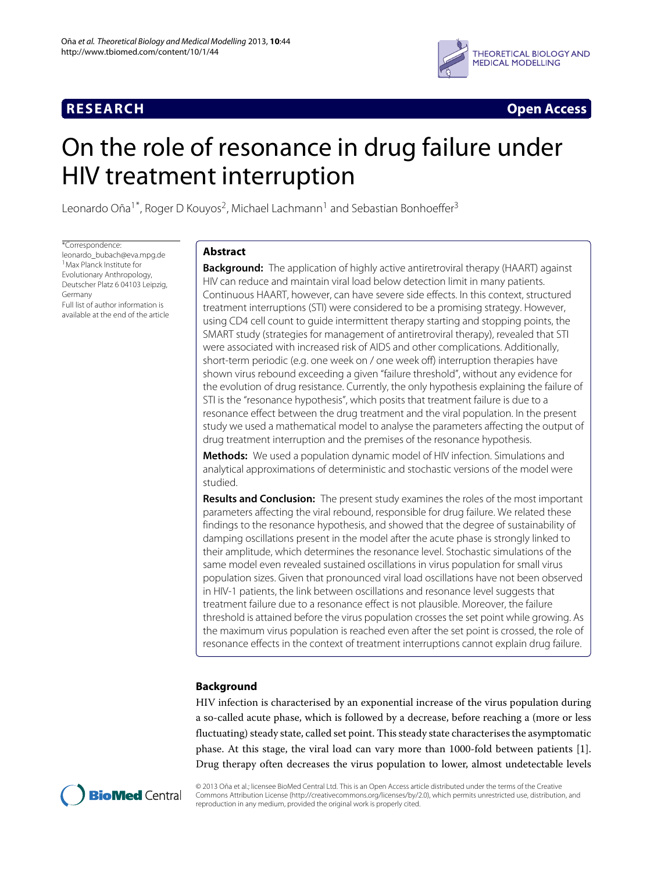# **RESEARCH Open Access**



# On the role of resonance in drug failure under HIV treatment interruption

Leonardo Oña<sup>1\*</sup>, Roger D Kouyos<sup>2</sup>, Michael Lachmann<sup>1</sup> and Sebastian Bonhoeffer<sup>3</sup>

\*Correspondence: leonardo\_bubach@eva.mpg.de 1Max Planck Institute for Evolutionary Anthropology, Deutscher Platz 6 04103 Leipzig, Germany Full list of author information is available at the end of the article

# **Abstract**

**Background:** The application of highly active antiretroviral therapy (HAART) against HIV can reduce and maintain viral load below detection limit in many patients. Continuous HAART, however, can have severe side effects. In this context, structured treatment interruptions (STI) were considered to be a promising strategy. However, using CD4 cell count to guide intermittent therapy starting and stopping points, the SMART study (strategies for management of antiretroviral therapy), revealed that STI were associated with increased risk of AIDS and other complications. Additionally, short-term periodic (e.g. one week on / one week off) interruption therapies have shown virus rebound exceeding a given "failure threshold", without any evidence for the evolution of drug resistance. Currently, the only hypothesis explaining the failure of STI is the "resonance hypothesis", which posits that treatment failure is due to a resonance effect between the drug treatment and the viral population. In the present study we used a mathematical model to analyse the parameters affecting the output of drug treatment interruption and the premises of the resonance hypothesis.

**Methods:** We used a population dynamic model of HIV infection. Simulations and analytical approximations of deterministic and stochastic versions of the model were studied.

**Results and Conclusion:** The present study examines the roles of the most important parameters affecting the viral rebound, responsible for drug failure. We related these findings to the resonance hypothesis, and showed that the degree of sustainability of damping oscillations present in the model after the acute phase is strongly linked to their amplitude, which determines the resonance level. Stochastic simulations of the same model even revealed sustained oscillations in virus population for small virus population sizes. Given that pronounced viral load oscillations have not been observed in HIV-1 patients, the link between oscillations and resonance level suggests that treatment failure due to a resonance effect is not plausible. Moreover, the failure threshold is attained before the virus population crosses the set point while growing. As the maximum virus population is reached even after the set point is crossed, the role of resonance effects in the context of treatment interruptions cannot explain drug failure.

# **Background**

HIV infection is characterised by an exponential increase of the virus population during a so-called acute phase, which is followed by a decrease, before reaching a (more or less fluctuating) steady state, called set point. This steady state characterises the asymptomatic phase. At this stage, the viral load can vary more than 1000-fold between patients [\[1\]](#page-9-0). Drug therapy often decreases the virus population to lower, almost undetectable levels



© 2013 Oña et al.; licensee BioMed Central Ltd. This is an Open Access article distributed under the terms of the Creative Commons Attribution License (http://creativecommons.org/licenses/by/2.0), which permits unrestricted use, distribution, and reproduction in any medium, provided the original work is properly cited.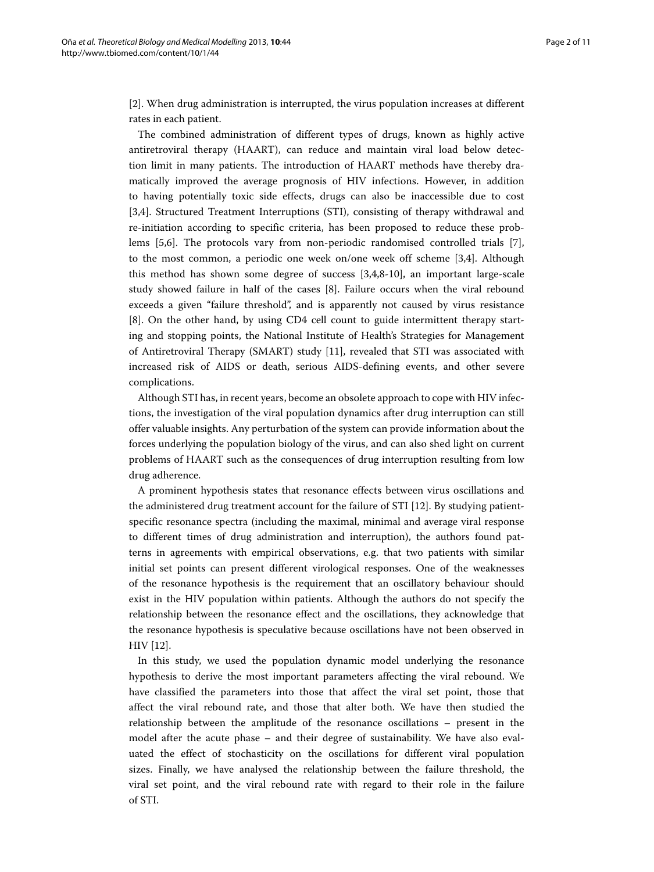[\[2\]](#page-9-1). When drug administration is interrupted, the virus population increases at different rates in each patient.

The combined administration of different types of drugs, known as highly active antiretroviral therapy (HAART), can reduce and maintain viral load below detection limit in many patients. The introduction of HAART methods have thereby dramatically improved the average prognosis of HIV infections. However, in addition to having potentially toxic side effects, drugs can also be inaccessible due to cost [\[3](#page-9-2)[,4\]](#page-9-3). Structured Treatment Interruptions (STI), consisting of therapy withdrawal and re-initiation according to specific criteria, has been proposed to reduce these problems [\[5](#page-9-4)[,6\]](#page-9-5). The protocols vary from non-periodic randomised controlled trials [\[7\]](#page-9-6), to the most common, a periodic one week on/one week off scheme [\[3](#page-9-2)[,4\]](#page-9-3). Although this method has shown some degree of success [\[3](#page-9-2)[,4](#page-9-3)[,8](#page-9-7)[-10\]](#page-9-8), an important large-scale study showed failure in half of the cases [\[8\]](#page-9-7). Failure occurs when the viral rebound exceeds a given "failure threshold", and is apparently not caused by virus resistance [\[8\]](#page-9-7). On the other hand, by using CD4 cell count to guide intermittent therapy starting and stopping points, the National Institute of Health's Strategies for Management of Antiretroviral Therapy (SMART) study [\[11\]](#page-9-9), revealed that STI was associated with increased risk of AIDS or death, serious AIDS-defining events, and other severe complications.

Although STI has, in recent years, become an obsolete approach to cope with HIV infections, the investigation of the viral population dynamics after drug interruption can still offer valuable insights. Any perturbation of the system can provide information about the forces underlying the population biology of the virus, and can also shed light on current problems of HAART such as the consequences of drug interruption resulting from low drug adherence.

A prominent hypothesis states that resonance effects between virus oscillations and the administered drug treatment account for the failure of STI [\[12\]](#page-9-10). By studying patientspecific resonance spectra (including the maximal, minimal and average viral response to different times of drug administration and interruption), the authors found patterns in agreements with empirical observations, e.g. that two patients with similar initial set points can present different virological responses. One of the weaknesses of the resonance hypothesis is the requirement that an oscillatory behaviour should exist in the HIV population within patients. Although the authors do not specify the relationship between the resonance effect and the oscillations, they acknowledge that the resonance hypothesis is speculative because oscillations have not been observed in HIV [\[12\]](#page-9-10).

In this study, we used the population dynamic model underlying the resonance hypothesis to derive the most important parameters affecting the viral rebound. We have classified the parameters into those that affect the viral set point, those that affect the viral rebound rate, and those that alter both. We have then studied the relationship between the amplitude of the resonance oscillations – present in the model after the acute phase – and their degree of sustainability. We have also evaluated the effect of stochasticity on the oscillations for different viral population sizes. Finally, we have analysed the relationship between the failure threshold, the viral set point, and the viral rebound rate with regard to their role in the failure of STI.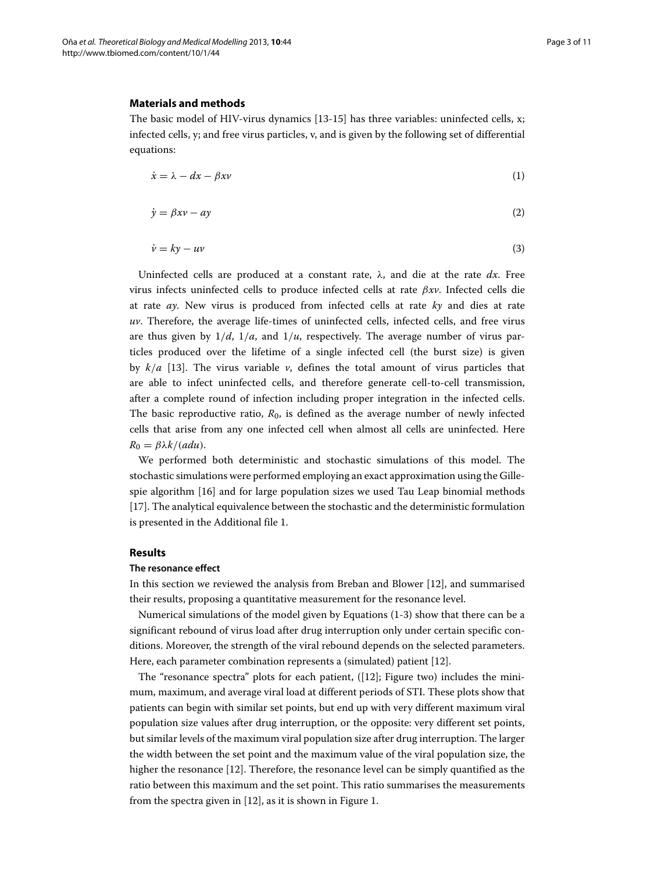#### **Materials and methods**

The basic model of HIV-virus dynamics [\[13](#page-9-11)[-15\]](#page-9-12) has three variables: uninfected cells, x; infected cells, y; and free virus particles, v, and is given by the following set of differential equations:

<span id="page-2-2"></span><span id="page-2-0"></span>
$$
\dot{x} = \lambda - dx - \beta xv \tag{1}
$$

$$
\dot{y} = \beta x v - ay \tag{2}
$$

<span id="page-2-1"></span>
$$
\dot{v} = ky - uv \tag{3}
$$

Uninfected cells are produced at a constant rate,  $\lambda$ , and die at the rate  $dx$ . Free virus infects uninfected cells to produce infected cells at rate *βxv*. Infected cells die at rate *ay*. New virus is produced from infected cells at rate *ky* and dies at rate *uv*. Therefore, the average life-times of uninfected cells, infected cells, and free virus are thus given by  $1/d$ ,  $1/a$ , and  $1/u$ , respectively. The average number of virus particles produced over the lifetime of a single infected cell (the burst size) is given by  $k/a$  [\[13\]](#page-9-11). The virus variable  $\nu$ , defines the total amount of virus particles that are able to infect uninfected cells, and therefore generate cell-to-cell transmission, after a complete round of infection including proper integration in the infected cells. The basic reproductive ratio, *R*0, is defined as the average number of newly infected cells that arise from any one infected cell when almost all cells are uninfected. Here  $R_0 = \beta \lambda k/(adu)$ .

We performed both deterministic and stochastic simulations of this model. The stochastic simulations were performed employing an exact approximation using the Gillespie algorithm [\[16\]](#page-9-13) and for large population sizes we used Tau Leap binomial methods [\[17\]](#page-9-14). The analytical equivalence between the stochastic and the deterministic formulation is presented in the Additional file [1.](#page-9-15)

#### **Results**

#### **The resonance effect**

In this section we reviewed the analysis from Breban and Blower [\[12\]](#page-9-10), and summarised their results, proposing a quantitative measurement for the resonance level.

Numerical simulations of the model given by Equations [\(1](#page-2-0)[-3\)](#page-2-1) show that there can be a significant rebound of virus load after drug interruption only under certain specific conditions. Moreover, the strength of the viral rebound depends on the selected parameters. Here, each parameter combination represents a (simulated) patient [\[12\]](#page-9-10).

The "resonance spectra" plots for each patient,  $(12)$ ; Figure two) includes the minimum, maximum, and average viral load at different periods of STI. These plots show that patients can begin with similar set points, but end up with very different maximum viral population size values after drug interruption, or the opposite: very different set points, but similar levels of the maximum viral population size after drug interruption. The larger the width between the set point and the maximum value of the viral population size, the higher the resonance [\[12\]](#page-9-10). Therefore, the resonance level can be simply quantified as the ratio between this maximum and the set point. This ratio summarises the measurements from the spectra given in [\[12\]](#page-9-10), as it is shown in Figure [1.](#page-3-0)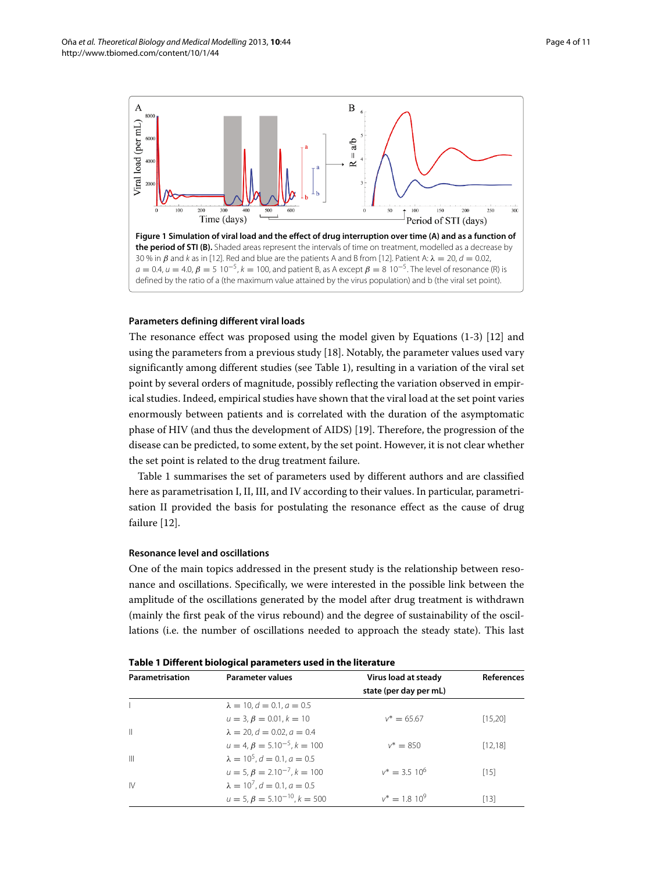

## <span id="page-3-0"></span>**Parameters defining different viral loads**

The resonance effect was proposed using the model given by Equations [\(1](#page-2-0)[-3\)](#page-2-1) [\[12\]](#page-9-10) and using the parameters from a previous study [\[18\]](#page-9-16). Notably, the parameter values used vary significantly among different studies (see Table [1\)](#page-3-1), resulting in a variation of the viral set point by several orders of magnitude, possibly reflecting the variation observed in empirical studies. Indeed, empirical studies have shown that the viral load at the set point varies enormously between patients and is correlated with the duration of the asymptomatic phase of HIV (and thus the development of AIDS) [\[19\]](#page-10-0). Therefore, the progression of the disease can be predicted, to some extent, by the set point. However, it is not clear whether the set point is related to the drug treatment failure.

Table [1](#page-3-1) summarises the set of parameters used by different authors and are classified here as parametrisation I, II, III, and IV according to their values. In particular, parametrisation II provided the basis for postulating the resonance effect as the cause of drug failure [\[12\]](#page-9-10).

#### **Resonance level and oscillations**

One of the main topics addressed in the present study is the relationship between resonance and oscillations. Specifically, we were interested in the possible link between the amplitude of the oscillations generated by the model after drug treatment is withdrawn (mainly the first peak of the virus rebound) and the degree of sustainability of the oscillations (i.e. the number of oscillations needed to approach the steady state). This last

<span id="page-3-1"></span>

| Parametrisation | <b>Parameter values</b>                    | Virus load at steady   | <b>References</b> |
|-----------------|--------------------------------------------|------------------------|-------------------|
|                 |                                            | state (per day per mL) |                   |
|                 | $\lambda = 10$ , $d = 0.1$ , $a = 0.5$     |                        |                   |
|                 | $u = 3, \beta = 0.01, k = 10$              | $v^* = 65.67$          | [15,20]           |
| $\mathbb{I}$    | $\lambda = 20$ , $d = 0.02$ , $a = 0.4$    |                        |                   |
|                 | $u = 4, \beta = 5.10^{-5}, k = 100$        | $v^* = 850$            | [12.18]           |
| $\mathbb{H}$    | $\lambda = 10^5$ , $d = 0.1$ , $a = 0.5$   |                        |                   |
|                 | $u = 5$ , $\beta = 2.10^{-7}$ , $k = 100$  | $v^* = 3.5 10^6$       | $[15]$            |
| N               | $\lambda = 10^7$ , $d = 0.1$ , $a = 0.5$   |                        |                   |
|                 | $u = 5$ , $\beta = 5.10^{-10}$ , $k = 500$ | $v^* = 1.8 10^9$       | [13]              |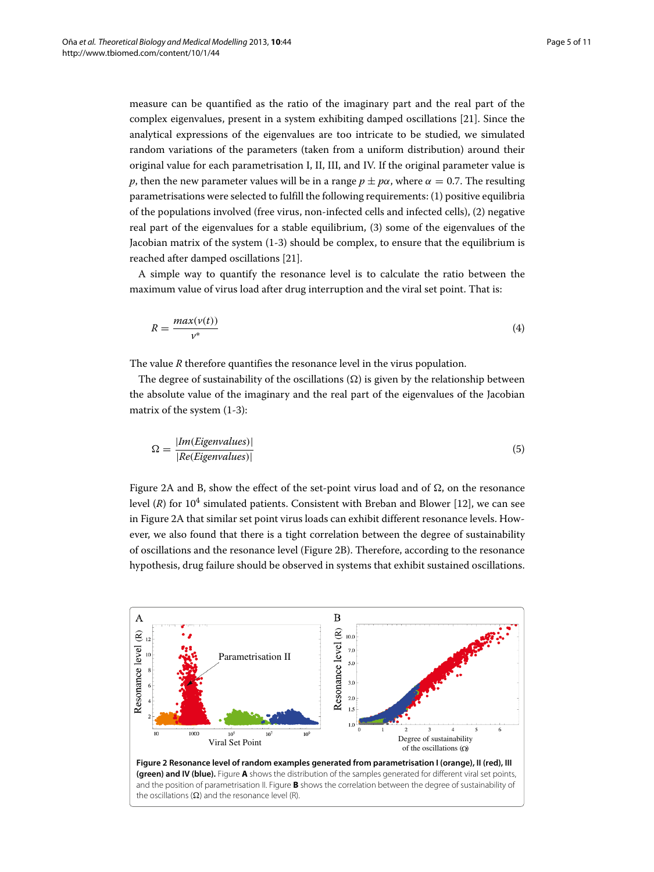measure can be quantified as the ratio of the imaginary part and the real part of the complex eigenvalues, present in a system exhibiting damped oscillations [\[21\]](#page-10-2). Since the analytical expressions of the eigenvalues are too intricate to be studied, we simulated random variations of the parameters (taken from a uniform distribution) around their original value for each parametrisation I, II, III, and IV. If the original parameter value is *p*, then the new parameter values will be in a range  $p \pm p\alpha$ , where  $\alpha = 0.7$ . The resulting parametrisations were selected to fulfill the following requirements: [\(1\)](#page-2-0) positive equilibria of the populations involved (free virus, non-infected cells and infected cells), [\(2\)](#page-2-2) negative real part of the eigenvalues for a stable equilibrium, [\(3\)](#page-2-1) some of the eigenvalues of the Jacobian matrix of the system [\(1](#page-2-0)[-3\)](#page-2-1) should be complex, to ensure that the equilibrium is reached after damped oscillations [\[21\]](#page-10-2).

A simple way to quantify the resonance level is to calculate the ratio between the maximum value of virus load after drug interruption and the viral set point. That is:

$$
R = \frac{max(v(t))}{v^*}
$$
 (4)

The value *R* therefore quantifies the resonance level in the virus population.

The degree of sustainability of the oscillations  $(\Omega)$  is given by the relationship between the absolute value of the imaginary and the real part of the eigenvalues of the Jacobian matrix of the system [\(1](#page-2-0)[-3\)](#page-2-1):

$$
\Omega = \frac{|Im(Eigenvalues)|}{|Re(Eigenvalues)|}
$$
\n(5)

Figure [2A](#page-4-0) and B, show the effect of the set-point virus load and of  $\Omega$ , on the resonance level  $(R)$  for  $10<sup>4</sup>$  simulated patients. Consistent with Breban and Blower [\[12\]](#page-9-10), we can see in Figure [2A](#page-4-0) that similar set point virus loads can exhibit different resonance levels. However, we also found that there is a tight correlation between the degree of sustainability of oscillations and the resonance level (Figure [2B](#page-4-0)). Therefore, according to the resonance hypothesis, drug failure should be observed in systems that exhibit sustained oscillations.

<span id="page-4-0"></span>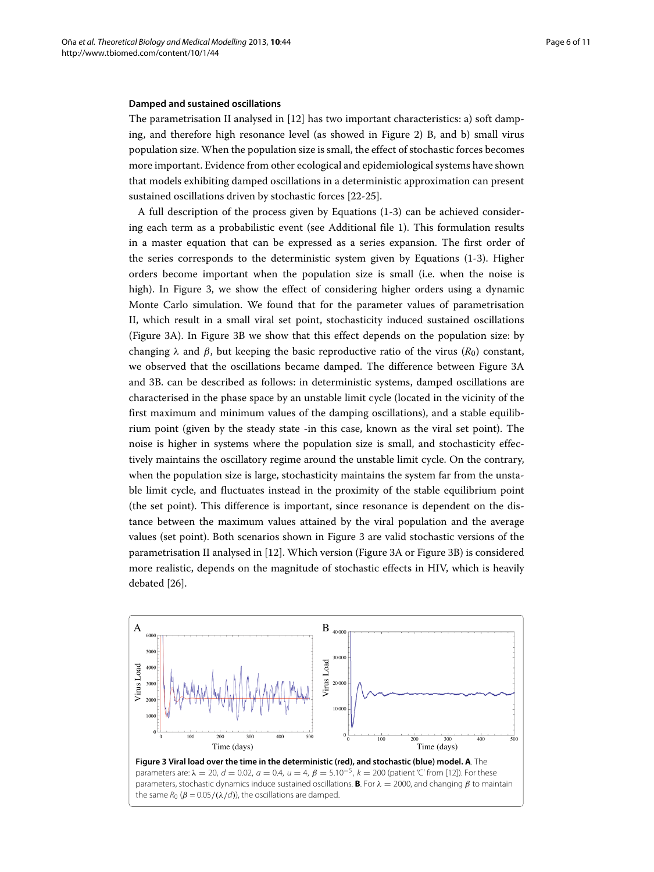#### **Damped and sustained oscillations**

The parametrisation II analysed in [\[12\]](#page-9-10) has two important characteristics: a) soft damping, and therefore high resonance level (as showed in Figure [2\)](#page-4-0) B, and b) small virus population size. When the population size is small, the effect of stochastic forces becomes more important. Evidence from other ecological and epidemiological systems have shown that models exhibiting damped oscillations in a deterministic approximation can present sustained oscillations driven by stochastic forces [\[22-](#page-10-3)[25\]](#page-10-4).

A full description of the process given by Equations [\(1-](#page-2-0)[3\)](#page-2-1) can be achieved considering each term as a probabilistic event (see Additional file [1\)](#page-9-15). This formulation results in a master equation that can be expressed as a series expansion. The first order of the series corresponds to the deterministic system given by Equations [\(1-](#page-2-0)[3\)](#page-2-1). Higher orders become important when the population size is small (i.e. when the noise is high). In Figure [3,](#page-5-0) we show the effect of considering higher orders using a dynamic Monte Carlo simulation. We found that for the parameter values of parametrisation II, which result in a small viral set point, stochasticity induced sustained oscillations (Figure [3A](#page-5-0)). In Figure [3B](#page-5-0) we show that this effect depends on the population size: by changing  $\lambda$  and  $\beta$ , but keeping the basic reproductive ratio of the virus ( $R_0$ ) constant, we observed that the oscillations became damped. The difference between Figure [3A](#page-5-0) and [3B](#page-5-0). can be described as follows: in deterministic systems, damped oscillations are characterised in the phase space by an unstable limit cycle (located in the vicinity of the first maximum and minimum values of the damping oscillations), and a stable equilibrium point (given by the steady state -in this case, known as the viral set point). The noise is higher in systems where the population size is small, and stochasticity effectively maintains the oscillatory regime around the unstable limit cycle. On the contrary, when the population size is large, stochasticity maintains the system far from the unstable limit cycle, and fluctuates instead in the proximity of the stable equilibrium point (the set point). This difference is important, since resonance is dependent on the distance between the maximum values attained by the viral population and the average values (set point). Both scenarios shown in Figure [3](#page-5-0) are valid stochastic versions of the parametrisation II analysed in [\[12\]](#page-9-10). Which version (Figure [3A](#page-5-0) or Figure [3B](#page-5-0)) is considered more realistic, depends on the magnitude of stochastic effects in HIV, which is heavily debated [\[26\]](#page-10-5).

<span id="page-5-0"></span>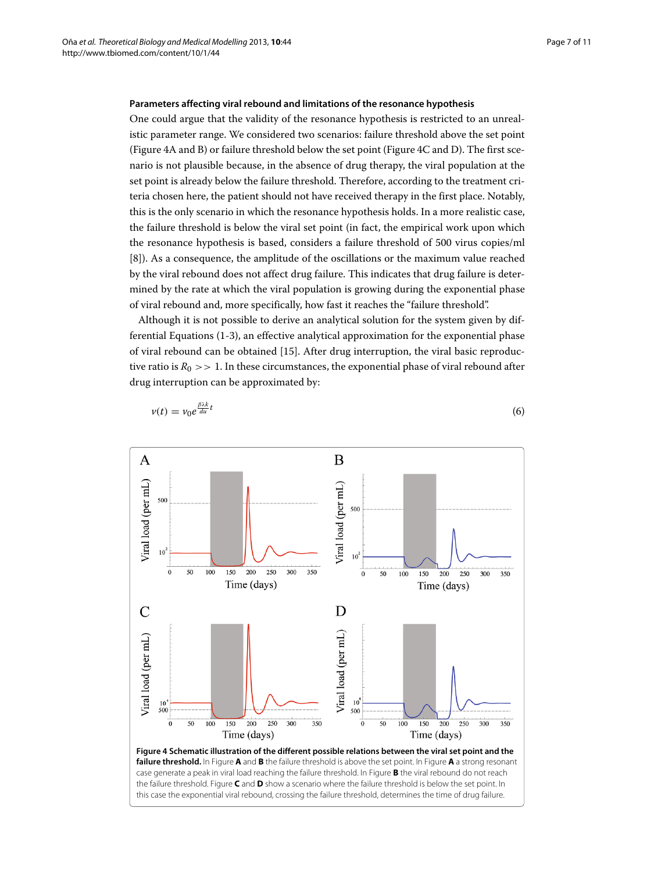#### **Parameters affecting viral rebound and limitations of the resonance hypothesis**

One could argue that the validity of the resonance hypothesis is restricted to an unrealistic parameter range. We considered two scenarios: failure threshold above the set point (Figure [4A](#page-6-0) and B) or failure threshold below the set point (Figure [4C](#page-6-0) and D). The first scenario is not plausible because, in the absence of drug therapy, the viral population at the set point is already below the failure threshold. Therefore, according to the treatment criteria chosen here, the patient should not have received therapy in the first place. Notably, this is the only scenario in which the resonance hypothesis holds. In a more realistic case, the failure threshold is below the viral set point (in fact, the empirical work upon which the resonance hypothesis is based, considers a failure threshold of 500 virus copies/ml [\[8\]](#page-9-7)). As a consequence, the amplitude of the oscillations or the maximum value reached by the viral rebound does not affect drug failure. This indicates that drug failure is determined by the rate at which the viral population is growing during the exponential phase of viral rebound and, more specifically, how fast it reaches the "failure threshold".

Although it is not possible to derive an analytical solution for the system given by differential Equations [\(1](#page-2-0)[-3\)](#page-2-1), an effective analytical approximation for the exponential phase of viral rebound can be obtained [\[15\]](#page-9-12). After drug interruption, the viral basic reproductive ratio is  $R_0 \gg 1$ . In these circumstances, the exponential phase of viral rebound after drug interruption can be approximated by:

<span id="page-6-1"></span>
$$
v(t) = v_0 e^{\frac{\beta \lambda k}{du}t} \tag{6}
$$

<span id="page-6-0"></span>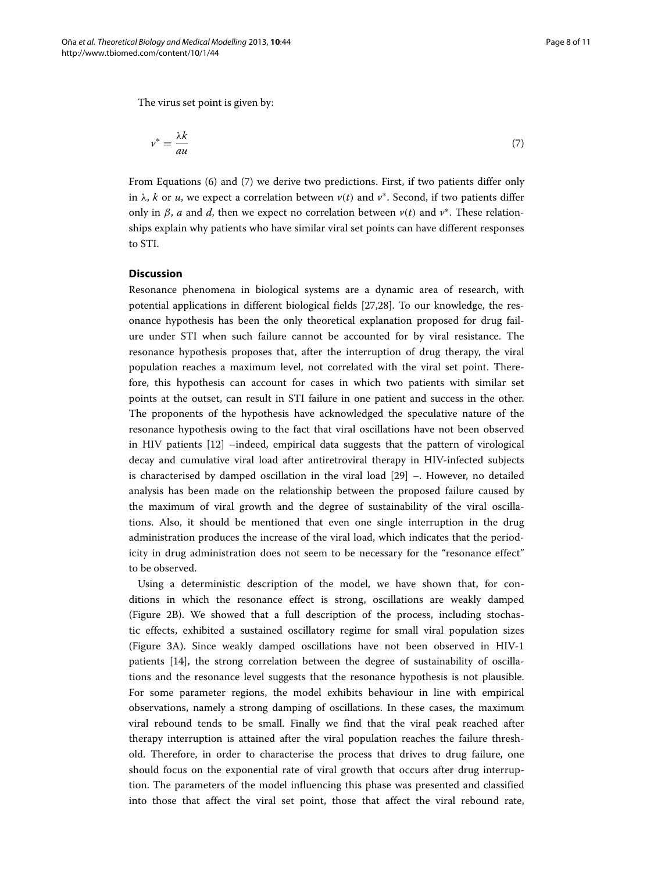The virus set point is given by:

<span id="page-7-0"></span>
$$
v^* = \frac{\lambda k}{au} \tag{7}
$$

From Equations [\(6\)](#page-6-1) and [\(7\)](#page-7-0) we derive two predictions. First, if two patients differ only in  $\lambda$ , *k* or *u*, we expect a correlation between  $v(t)$  and  $v^*$ . Second, if two patients differ only in *β*, *a* and *d*, then we expect no correlation between  $v(t)$  and  $v^*$ . These relationships explain why patients who have similar viral set points can have different responses to STI.

#### **Discussion**

Resonance phenomena in biological systems are a dynamic area of research, with potential applications in different biological fields [\[27](#page-10-6)[,28\]](#page-10-7). To our knowledge, the resonance hypothesis has been the only theoretical explanation proposed for drug failure under STI when such failure cannot be accounted for by viral resistance. The resonance hypothesis proposes that, after the interruption of drug therapy, the viral population reaches a maximum level, not correlated with the viral set point. Therefore, this hypothesis can account for cases in which two patients with similar set points at the outset, can result in STI failure in one patient and success in the other. The proponents of the hypothesis have acknowledged the speculative nature of the resonance hypothesis owing to the fact that viral oscillations have not been observed in HIV patients [\[12\]](#page-9-10) –indeed, empirical data suggests that the pattern of virological decay and cumulative viral load after antiretroviral therapy in HIV-infected subjects is characterised by damped oscillation in the viral load  $[29]$  –. However, no detailed analysis has been made on the relationship between the proposed failure caused by the maximum of viral growth and the degree of sustainability of the viral oscillations. Also, it should be mentioned that even one single interruption in the drug administration produces the increase of the viral load, which indicates that the periodicity in drug administration does not seem to be necessary for the "resonance effect" to be observed.

Using a deterministic description of the model, we have shown that, for conditions in which the resonance effect is strong, oscillations are weakly damped (Figure [2B](#page-4-0)). We showed that a full description of the process, including stochastic effects, exhibited a sustained oscillatory regime for small viral population sizes (Figure [3A](#page-5-0)). Since weakly damped oscillations have not been observed in HIV-1 patients [\[14\]](#page-9-17), the strong correlation between the degree of sustainability of oscillations and the resonance level suggests that the resonance hypothesis is not plausible. For some parameter regions, the model exhibits behaviour in line with empirical observations, namely a strong damping of oscillations. In these cases, the maximum viral rebound tends to be small. Finally we find that the viral peak reached after therapy interruption is attained after the viral population reaches the failure threshold. Therefore, in order to characterise the process that drives to drug failure, one should focus on the exponential rate of viral growth that occurs after drug interruption. The parameters of the model influencing this phase was presented and classified into those that affect the viral set point, those that affect the viral rebound rate,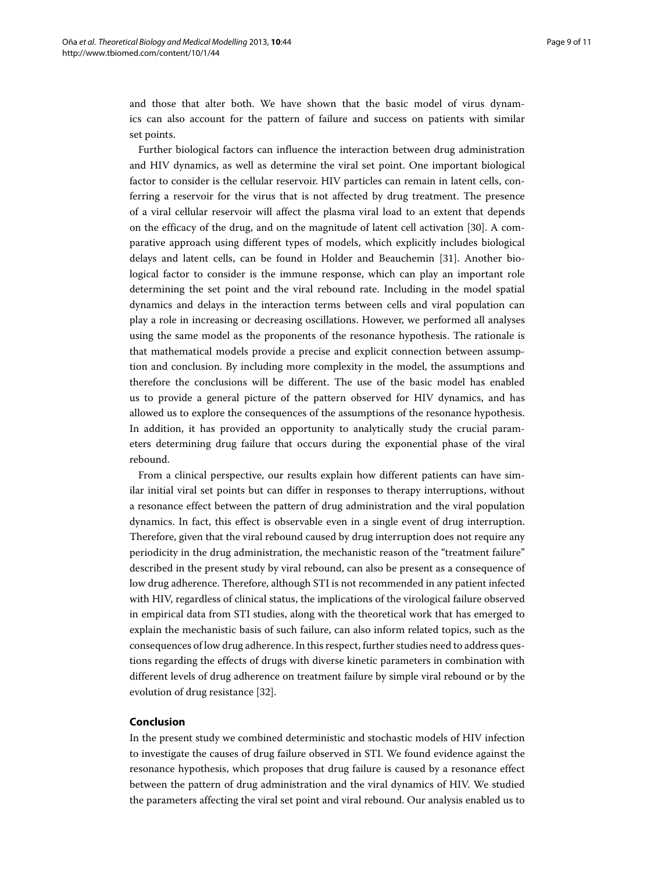and those that alter both. We have shown that the basic model of virus dynamics can also account for the pattern of failure and success on patients with similar set points.

Further biological factors can influence the interaction between drug administration and HIV dynamics, as well as determine the viral set point. One important biological factor to consider is the cellular reservoir. HIV particles can remain in latent cells, conferring a reservoir for the virus that is not affected by drug treatment. The presence of a viral cellular reservoir will affect the plasma viral load to an extent that depends on the efficacy of the drug, and on the magnitude of latent cell activation [\[30\]](#page-10-9). A comparative approach using different types of models, which explicitly includes biological delays and latent cells, can be found in Holder and Beauchemin [\[31\]](#page-10-10). Another biological factor to consider is the immune response, which can play an important role determining the set point and the viral rebound rate. Including in the model spatial dynamics and delays in the interaction terms between cells and viral population can play a role in increasing or decreasing oscillations. However, we performed all analyses using the same model as the proponents of the resonance hypothesis. The rationale is that mathematical models provide a precise and explicit connection between assumption and conclusion. By including more complexity in the model, the assumptions and therefore the conclusions will be different. The use of the basic model has enabled us to provide a general picture of the pattern observed for HIV dynamics, and has allowed us to explore the consequences of the assumptions of the resonance hypothesis. In addition, it has provided an opportunity to analytically study the crucial parameters determining drug failure that occurs during the exponential phase of the viral rebound.

From a clinical perspective, our results explain how different patients can have similar initial viral set points but can differ in responses to therapy interruptions, without a resonance effect between the pattern of drug administration and the viral population dynamics. In fact, this effect is observable even in a single event of drug interruption. Therefore, given that the viral rebound caused by drug interruption does not require any periodicity in the drug administration, the mechanistic reason of the "treatment failure" described in the present study by viral rebound, can also be present as a consequence of low drug adherence. Therefore, although STI is not recommended in any patient infected with HIV, regardless of clinical status, the implications of the virological failure observed in empirical data from STI studies, along with the theoretical work that has emerged to explain the mechanistic basis of such failure, can also inform related topics, such as the consequences of low drug adherence. In this respect, further studies need to address questions regarding the effects of drugs with diverse kinetic parameters in combination with different levels of drug adherence on treatment failure by simple viral rebound or by the evolution of drug resistance [\[32\]](#page-10-11).

# **Conclusion**

In the present study we combined deterministic and stochastic models of HIV infection to investigate the causes of drug failure observed in STI. We found evidence against the resonance hypothesis, which proposes that drug failure is caused by a resonance effect between the pattern of drug administration and the viral dynamics of HIV. We studied the parameters affecting the viral set point and viral rebound. Our analysis enabled us to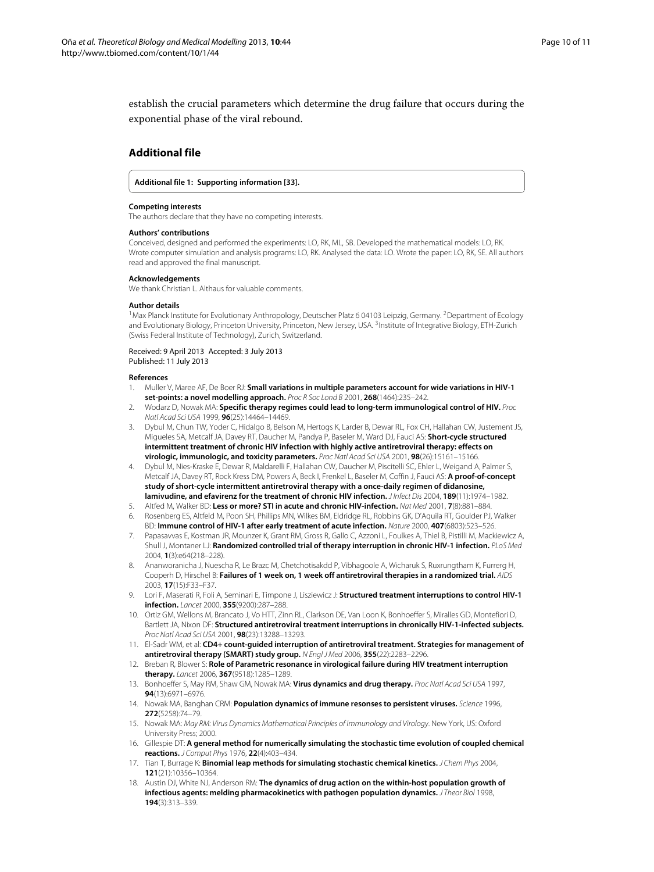establish the crucial parameters which determine the drug failure that occurs during the exponential phase of the viral rebound.

## **Additional file**

<span id="page-9-15"></span>**[Additional file 1:](http://www.biomedcentral.com/content/supplementary/1742-4682-10-44-S1.pdf) Supporting information [\[33\]](#page-10-12).**

#### **Competing interests**

The authors declare that they have no competing interests.

#### **Authors' contributions**

Conceived, designed and performed the experiments: LO, RK, ML, SB. Developed the mathematical models: LO, RK. Wrote computer simulation and analysis programs: LO, RK. Analysed the data: LO. Wrote the paper: LO, RK, SE. All authors read and approved the final manuscript.

#### **Acknowledgements**

We thank Christian L. Althaus for valuable comments.

#### **Author details**

<sup>1</sup> Max Planck Institute for Evolutionary Anthropology, Deutscher Platz 6 04103 Leipzig, Germany. <sup>2</sup> Department of Ecology and Evolutionary Biology, Princeton University, Princeton, New Jersey, USA.<sup>3</sup>Institute of Integrative Biology, ETH-Zurich (Swiss Federal Institute of Technology), Zurich, Switzerland.

#### Received: 9 April 2013 Accepted: 3 July 2013 Published: 11 July 2013

**References**

- <span id="page-9-0"></span>1. Muller V, Maree AF, De Boer RJ: **Small variations in multiple parameters account for wide variations in HIV-1 set-points: a novel modelling approach.** Proc R Soc Lond B 2001, **268**(1464):235–242.
- <span id="page-9-1"></span>2. Wodarz D, Nowak MA: **Specific therapy regimes could lead to long-term immunological control of HIV.** Proc Natl Acad Sci USA 1999, **96**(25):14464–14469.
- <span id="page-9-2"></span>Dybul M, Chun TW, Yoder C, Hidalgo B, Belson M, Hertogs K, Larder B, Dewar RL, Fox CH, Hallahan CW, Justement JS, Migueles SA, Metcalf JA, Davey RT, Daucher M, Pandya P, Baseler M, Ward DJ, Fauci AS: **Short-cycle structured intermittent treatment of chronic HIV infection with highly active antiretroviral therapy: effects on virologic, immunologic, and toxicity parameters.** Proc Natl Acad Sci USA 2001, **98**(26):15161–15166.
- <span id="page-9-3"></span>4. Dybul M, Nies-Kraske E, Dewar R, Maldarelli F, Hallahan CW, Daucher M, Piscitelli SC, Ehler L, Weigand A, Palmer S, Metcalf JA, Davey RT, Rock Kress DM, Powers A, Beck I, Frenkel L, Baseler M, Coffin J, Fauci AS: **A proof-of-concept study of short-cycle intermittent antiretroviral therapy with a once-daily regimen of didanosine, lamivudine, and efavirenz for the treatment of chronic HIV infection.** J Infect Dis 2004, **189**(11):1974–1982.
- <span id="page-9-4"></span>5. Altfed M, Walker BD: **Less or more? STI in acute and chronic HIV-infection.** Nat Med 2001, **7**(8):881–884.
- <span id="page-9-5"></span>6. Rosenberg ES, Altfeld M, Poon SH, Phillips MN, Wilkes BM, Eldridge RL, Robbins GK, D'Aquila RT, Goulder PJ, Walker
- BD: **Immune control of HIV-1 after early treatment of acute infection.** Nature 2000, **407**(6803):523–526.
- <span id="page-9-6"></span>7. Papasavvas E, Kostman JR, Mounzer K, Grant RM, Gross R, Gallo C, Azzoni L, Foulkes A, Thiel B, Pistilli M, Mackiewicz A, Shull J, Montaner LJ: Randomized controlled trial of therapy interruption in chronic HIV-1 infection. PLoS Med 2004, **1**(3):e64(218–228).
- <span id="page-9-7"></span>8. Ananworanicha J, Nuescha R, Le Brazc M, Chetchotisakdd P, Vibhagoole A, Wicharuk S, Ruxrungtham K, Furrerg H, Cooperh D, Hirschel B: **Failures of 1 week on, 1 week off antiretroviral therapies in a randomized trial.** AIDS 2003, **17**(15):F33–F37.
- 9. Lori F, Maserati R, Foli A, Seminari E, Timpone J, Lisziewicz J: **Structured treatment interruptions to control HIV-1 infection.** Lancet 2000, **355**(9200):287–288.
- <span id="page-9-8"></span>10. Ortiz GM, Wellons M, Brancato J, Vo HTT, Zinn RL, Clarkson DE, Van Loon K, Bonhoeffer S, Miralles GD, Montefiori D, Bartlett JA, Nixon DF: **Structured antiretroviral treatment interruptions in chronically HIV-1-infected subjects.** Proc Natl Acad Sci USA 2001, **98**(23):13288–13293.
- <span id="page-9-9"></span>11. El-Sadr WM, et al: **CD4+ count-guided interruption of antiretroviral treatment. Strategies for management of antiretroviral therapy (SMART) study group.** N Engl J Med 2006, **355**(22):2283–2296.
- <span id="page-9-10"></span>12. Breban R, Blower S: **Role of Parametric resonance in virological failure during HIV treatment interruption therapy.** Lancet 2006, **367**(9518):1285–1289.
- <span id="page-9-11"></span>13. Bonhoeffer S, May RM, Shaw GM, Nowak MA: **Virus dynamics and drug therapy.** Proc Natl Acad Sci USA 1997, **94**(13):6971–6976.
- <span id="page-9-17"></span>14. Nowak MA, Banghan CRM: **Population dynamics of immune resonses to persistent viruses.** Science 1996, **272**(5258):74–79.
- <span id="page-9-12"></span>15. Nowak MA: May RM: Virus Dynamics Mathematical Principles of Immunology and Virology. New York, US: Oxford University Press; 2000.
- <span id="page-9-13"></span>16. Gillespie DT: **A general method for numerically simulating the stochastic time evolution of coupled chemical reactions.** J Comput Phys 1976, **22**(4):403–434.
- <span id="page-9-14"></span>17. Tian T, Burrage K: **Binomial leap methods for simulating stochastic chemical kinetics.** J Chem Phys 2004, **121**(21):10356–10364.
- <span id="page-9-16"></span>18. Austin DJ, White NJ, Anderson RM: **The dynamics of drug action on the within-host population growth of infectious agents: melding pharmacokinetics with pathogen population dynamics.** J Theor Biol 1998, **194**(3):313–339.